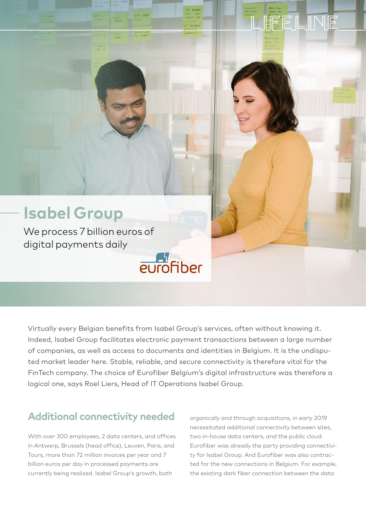# JEELINE

### **Isabel Group**

We process 7 billion euros of digital payments daily

Virtually every Belgian benefits from Isabel Group's services, often without knowing it. Indeed, Isabel Group facilitates electronic payment transactions between a large number of companies, as well as access to documents and identities in Belgium. It is the undisputed market leader here. Stable, reliable, and secure connectivity is therefore vital for the FinTech company. The choice of Eurofiber Belgium's digital infrastructure was therefore a logical one, says Roel Liers, Head of IT Operations Isabel Group.

eurofiber

#### **Additional connectivity needed**

With over 300 employees, 2 data centers, and offices in Antwerp, Brussels (head office), Leuven, Paris, and Tours, more than 72 million invoices per year and 7 billion euros per day in processed payments are currently being realized. Isabel Group's growth, both

organically and through acquisitions, in early 2019 necessitated additional connectivity between sites, two in-house data centers, and the public cloud. Eurofiber was already the party providing connectivity for Isabel Group. And Eurofiber was also contracted for the new connections in Belgium. For example, the existing dark fiber connection between the data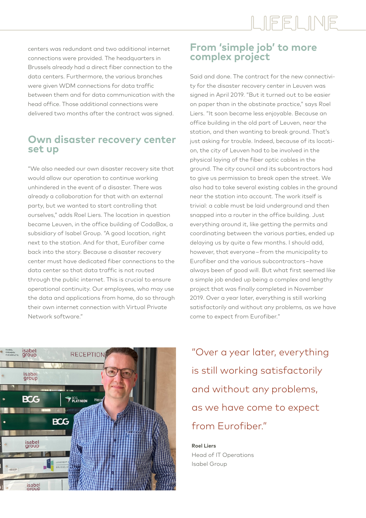## LIFELINE

centers was redundant and two additional internet connections were provided. The headquarters in Brussels already had a direct fiber connection to the data centers. Furthermore, the various branches were given WDM connections for data traffic between them and for data communication with the head office. Those additional connections were delivered two months after the contract was signed.

#### **Own disaster recovery center set up**

"We also needed our own disaster recovery site that would allow our operation to continue working unhindered in the event of a disaster. There was already a collaboration for that with an external party, but we wanted to start controlling that ourselves," adds Roel Liers. The location in question became Leuven, in the office building of CodaBox, a subsidiary of Isabel Group. "A good location, right next to the station. And for that, Eurofiber came back into the story. Because a disaster recovery center must have dedicated fiber connections to the data center so that data traffic is not routed through the public internet. This is crucial to ensure operational continuity. Our employees, who may use the data and applications from home, do so through their own internet connection with Virtual Private Network software."

#### **From 'simple job' to more complex project**

Said and done. The contract for the new connectivity for the disaster recovery center in Leuven was signed in April 2019. "But it turned out to be easier on paper than in the obstinate practice," says Roel Liers. "It soon became less enjoyable. Because an office building in the old part of Leuven, near the station, and then wanting to break ground. That's just asking for trouble. Indeed, because of its location, the city of Leuven had to be involved in the physical laying of the fiber optic cables in the ground. The city council and its subcontractors had to give us permission to break open the street. We also had to take several existing cables in the ground near the station into account. The work itself is trivial: a cable must be laid underground and then snapped into a router in the office building. Just everything around it, like getting the permits and coordinating between the various parties, ended up delaying us by quite a few months. I should add, however, that everyone – from the municipality to Eurofiber and the various subcontractors – have always been of good will. But what first seemed like a simple job ended up being a complex and lengthy project that was finally completed in November 2019. Over a year later, everything is still working satisfactorily and without any problems, as we have come to expect from Eurofiber."



"Over a year later, everything is still working satisfactorily and without any problems, as we have come to expect from Eurofiber"

**Roel Liers** Head of IT Operations Isabel Group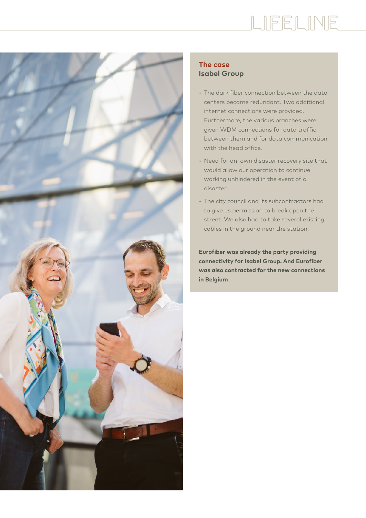# LIEELINE



#### **The case Isabel Group**

- The dark fiber connection between the data centers became redundant. Two additional internet connections were provided. Furthermore, the various branches were given WDM connections for data traffic between them and for data communication with the head office.
- Need for an own disaster recovery site that would allow our operation to continue working unhindered in the event of a disaster.
- The city council and its subcontractors had to give us permission to break open the street. We also had to take several existing cables in the ground near the station.

**Eurofiber was already the party providing connectivity for Isabel Group. And Eurofiber was also contracted for the new connections in Belgium**